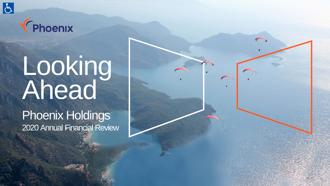



# Looking Ahead

Phoenix Holdings 2020 Annual Financial Review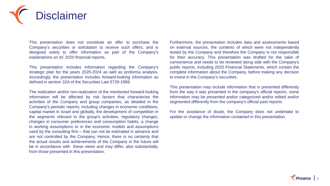

This presentation does not constitute an offer to purchase the Company's securities or solicitation to receive such offers, and is designed solely to offer information as part of the Company's explanations on its' 2020 financial reports.

This presentation includes information regarding the Company's strategic plan for the years 2020-2024 as well as proforma analysis. Accordingly, the presentation includes forward-looking information as defined in section 32A of the Securities Law 5728-1968.

The realization and/or non-realization of the mentioned forward-looking information will be affected by risk factors that characterize the activities of the Company and group companies, as detailed in the Company's periodic reports, including changes in economic conditions, capital market in Israel and globally, the development of competition in the segments relevant to the group's activities, regulatory changes, changes in consumer preferences and consumption habits, a change in working assumptions or in the economic models and assumptions used by the consulting firm – that can not be estimated in advance and are not controlled by the Company. Hence, there is no certainty that the actual results and achievements of the Company in the future will be in accordance with these views and may differ, also substantially, from those presented in this presentation.

Furthermore, the presentation includes data and assessments based on external sources, the contents of which were not independently tested by the Company and therefore the Company is not responsible for their accuracy. This presentation was drafted for the sake of convenience and needs to be reviewed along side with the Company's public reports, including 2020 Financial Statements, which contain the complete information about the Company, before making any decision to invest in the Company's securities.

This presentation may include information that is presented differently from the way it was presented in the company's official reports, some information may be presented and/or categorized and/or edited and/or segmented differently from the company's official past reports.

For the avoidance of doubt, the Company does not undertake to update or change the information contained in this presentation.

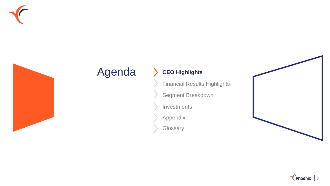



# Agenda > CEO Highlights

Financial Results Highlights

Segment Breakdown

Investments

Appendix

**Glossary** 



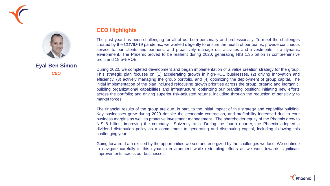



**Eyal Ben Simon** *CEO*

#### **CEO Highlights**

The past year has been challenging for all of us, both personally and professionally. To meet the challenges created by the COVID-19 pandemic, we worked diligently to ensure the health of our teams, provide continuous service to our clients and partners, and proactively manage our activities and investments in a dynamic environment. The Phoenix proved to be resilient during 2020, generating NIS 1.35 billion in comprehensive profit and 18.5% ROE.

During 2020, we completed development and began implementation of a value creation strategy for the group. This strategic plan focuses on (1) accelerating growth in high-ROE businesses, (2) driving innovation and efficiency, (3) actively managing the group portfolio, and (4) optimizing the deployment of group capital. The initial implementation of the plan included refocusing growth priorities across the group, organic and inorganic; building organizational capabilities and infrastructure; optimizing our branding position; initiating new efforts across the portfolio; and driving superior risk-adjusted returns, including through the reduction of sensitivity to market forces.

The financial results of the group are due, in part, to the initial impact of this strategy and capability building. Key businesses grew during 2020 despite the economic contraction, and profitability increased due to core business margins as well as proactive investment management. The shareholder equity of the Phoenix grew to NIS 8 billion, improving the company's Solvency ratio. During the fourth quarter, the Phoenix adopted a dividend distribution policy as a commitment to generating and distributing capital, including following this challenging year.

Going forward, I am excited by the opportunities we see and energized by the challenges we face. We continue to navigate carefully in this dynamic environment while redoubling efforts as we work towards significant improvements across our businesses.

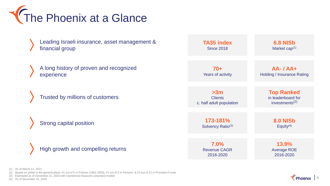

- Leading Israeli insurance, asset management & financial group
- A long history of proven and recognized experience
	- Trusted by millions of customers

**Strong capital position** 

High growth and compelling returns

| <b>TA35 index</b>             | <b>6.8 NISb</b>                   |
|-------------------------------|-----------------------------------|
| <b>Since 2018</b>             | Market cap <sup>(1)</sup>         |
| 70+                           | $AA - IAA +$                      |
| <b>Years of activity</b>      | <b>Holding / Insurance Rating</b> |
| >3m                           | <b>Top Ranked</b>                 |
| <b>Clients</b>                | in leaderboard for                |
| c. half adult population      | investments $(2)$                 |
| 173-181%                      | <b>8.0 NISb</b>                   |
| Solvency Ratio <sup>(3)</sup> | Equity $(4)$                      |
| 7.0%                          | 13.9%                             |
| <b>Revenue CAGR</b>           | <b>Average ROE</b>                |
| 2016-2020                     | 2016-2020                         |

(1) As of March 11, 2021

(2) Based on yields in the general plans: #1 out of 5 in Policies (1991-2003), #2 out of 5 in Pension, & #3 out of 12 in Provident Funds

(3) Estimated as of December 31, 2020 with transitional measures (standard model)

(4) As of December 31, 2020

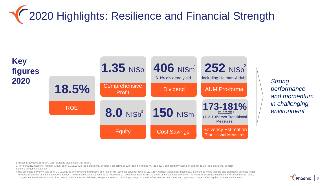# **TE 2020 Highlights: Resilience and Financial Strength**



*performance and momentum in challenging* 

1 Including Buyback 26 NISm. Cash dividend distribution, 380 NISm.

2 Pro-forma 252 NISb inc. Halman-Aldubi as of 31.12.20 (18 NISb provident / pension); pro-forma is 298 NISb if including 46 NISb IEC / port company assets in addition to 18 NISb provident / pension. 3 Before dividend distribution.

4 The estimated solvency ratio as of 31.12.2020 is after dividend distribution at a rate of 4% (Estimate solvency ratio of 112-118% without transitional measures), It should be noted that the said calculated estimate is not reviewed or audited by the independent auditor. The estimated solvency ratio as of December 31, 2020 does not include the effect of the business activity of The Phoenix Insurance subsequent to December 31, 2020, changes in the mix and amounts of insurance investments and liabilities, exogenous effects - including changes in the risk-free interest rate curve, and regulatory changes affecting the business environment.

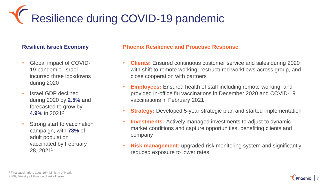# Resilience during COVID-19 pandemic

- Global impact of COVID-19 pandemic, Israel incurred three lockdowns during 2020
- Israel GDP declined during 2020 by **2.5%** and forecasted to grow by **4.9%** in 2021<sup>2</sup>
- Strong start to vaccination campaign, with **73%** of adult population vaccinated by February 28, 2021<sup>1</sup>

#### **Resilient Israeli Economy Phoenix Resilience and Proactive Response**

- **Clients:** Ensured continuous customer service and sales during 2020 with shift to remote working, restructured workflows across group, and close cooperation with partners
- **Employees:** Ensured health of staff including remote working, and provided in-office flu vaccinations in December 2020 and COVID-19 vaccinations in February 2021
- **Strategy:** Developed 5-year strategic plan and started implementation
- **Investments:** Actively managed investments to adjust to dynamic market conditions and capture opportunities, benefiting clients and company
- **Risk management:** upgraded risk monitoring system and significantly reduced exposure to lower rates

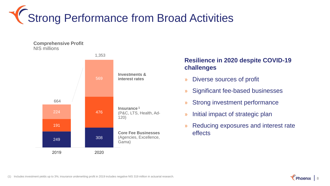

**Comprehensive Profit** NIS millions



### **Resilience in 2020 despite COVID-19 challenges**

- » Diverse sources of profit
- » Significant fee-based businesses
- » Strong investment performance
- » Initial impact of strategic plan
- » Reducing exposures and interest rate effects



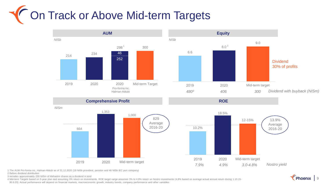# The Track or Above Mid-term Targets



1 The AUM Pro-forma inc. Halman-Aldubi as of 31.12.2020 (18 NISb provident, pension and 46 NISb IEC port company)

2 Before dividend distribution

3 Includes approximately 230 NISm of Mehadrin shares as a dividend in kind

4 Mid-term Targets based on 5-year plan and assuming 3% return on investments. ROE target range assumes 3% to 4.8% return on Nostro investments (4.8% based on average actual annual return during 1.10.15-

30.9.20). Actual performance will depend on financial markets, macroeconomic growth, industry trends, company performance and other variables

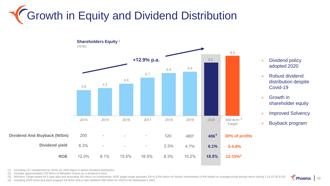# **(Growth in Equity and Dividend Distribution**



- » Dividend policy adopted 2020
- » Robust dividend distribution despite Covid-19
- » Growth in shareholder equity
- » Improved Solvency
- » Buyback program

(1) Including LAT restatement for 2018-19; 2020 figure is before dividend distribution.

(2) Includes approximately 230 NISm of Mehadrin shares as a dividend in kind.

(3) Mid-term Target based on 5-year plan and assuming 3% return on investments. ROE target range assumes 3% to 4.8% return on Nostro investments (4.8% based on average actual annual return during 1.10.15-30.9.20)

(4) Including 2020 share buy-back program 26 NISm and a cash dividend 380 NISm for 2020 to be distributed in 2021

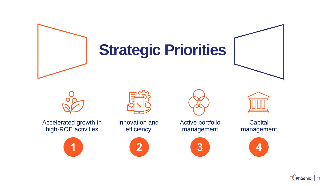

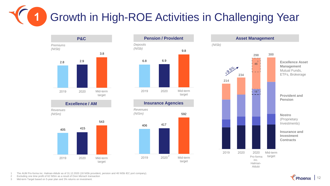Growth in High-ROE Activities in Challenging Year **1**



*Revenues (NISm)*





#### **Excellence / AM Insurance Agencies**





1 The AUM Pro-forma inc. Halman-Aldubi as of 31.12.2020 (18 NISb provident, pension and 46 NISb IEC port company).

2 Excluding one time profit of 62 NISm as a result of Oren Mizrach transaction

3 Mid-term Target based on 5-year plan and 3% returns on investment.

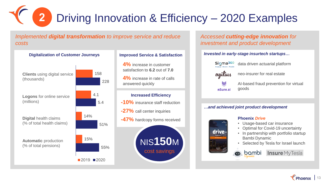# Driving Innovation & Efficiency – 2020 Examples **2**

*Implemented digital transformation to improve service and reduce costs*



### **Improved Service & Satisfaction**

**4%** increase in customer satisfaction to **6.2** out of **7.0**

**4%** increase in rate of calls answered quickly



#### *Accessed cutting-edge innovation for investment and product development*

#### *Invested in early-stage insurtech startups…*



drive.

data driven actuarial platform

neo-insurer for real estate



则 nSure.ai AI-based fraud prevention for virtual

#### *…and achieved joint product development*

goods

#### **Phoenix** *Drive*

- Usage-based car insurance
- Optimal for Covid-19 uncertainty
- In partnership with portfolio startup Bambi Dynamic
- Selected by Tesla for Israel launch



Insure MyTesla bambi

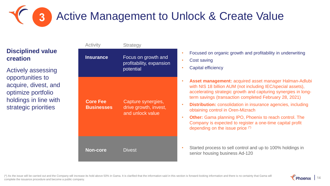

### **Disciplined value creation**

Actively assessing opportunities to acquire, divest, and optimize portfolio holdings in line with strategic priorities



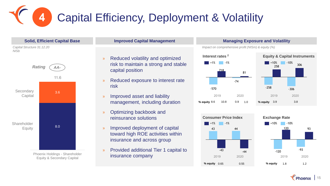## Capital Efficiency, Deployment & Volatility **4**





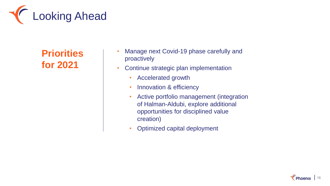

## **Priorities for 2021**

- Manage next Covid-19 phase carefully and proactively
- Continue strategic plan implementation
	- Accelerated growth
	- Innovation & efficiency
	- Active portfolio management (integration of Halman-Aldubi, explore additional opportunities for disciplined value creation)
	- Optimized capital deployment

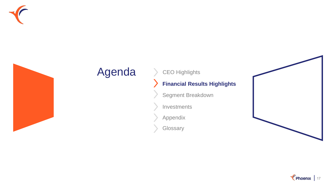



# Agenda > CEO Highlights

## **Financial Results Highlights**

Segment Breakdown

Investments

Appendix

**Glossary** 



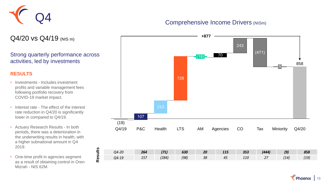

#### Comprehensive Income Drivers (NISm)

Q4/20 vs Q4/19 (NIS m)

#### Strong quarterly performance across activities, led by investments

#### **RESULTS**

- Investments Includes investment profits and variable management fees following portfolio recovery from COVID-19 market impact.
- Interest rate The effect of the interest rate reduction in Q4/20 is significantly lower in compared to Q4/19.
- Actuary Research Results In both periods, there was a deterioration in the underwriting results in health, with a higher subnational amount in Q4 2019.
- One-time profit in agencies segment as a result of obtaining control in Oren Mizrah - NIS 62M.

**Results**

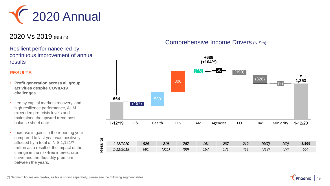

## 2020 Vs 2019 (NIS m)

#### Resilient performance led by continuous improvement of annual results

#### **RESULTS**

- **Profit generation across all group activities despite COVID-19 challenges**
- Led by capital markets recovery, and high resilience performance, AUM exceeded pre-crisis levels and maintained the upward trend post balance sheet date.
- Increase in gains in the reporting year compared to last year was positively affected by a total of NIS 1,121(\*) million as a result of the impact of the change in the risk-free interest rate curve and the illiquidity premium between the years.

### Comprehensive Income Drivers (NISm)

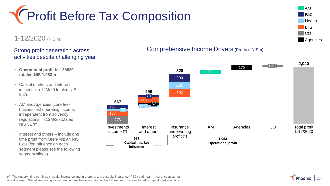

### 1-12/2020 (NIS m)

#### Strong profit generation across activities despite challenging year

- **Operational profit in 12M/20 totaled NIS 1,083m**
- Capital markets and interest influence in 12M/20 totaled NIS 957m
- AM and Agencies (core feebusinesses) operating income, independent from solvency regulations, in 12M/20 totaled NIS 317m
- Interest and others include one time profit from Oren-Mizrah NIS 62M (for influence on each segment please see the following segment slides).



#### 273 **2,040** 187 302 141 175 226 151 218 300 AM 56 **Investments** income (\*) Interest and others  $62$ 73 Insurance underwriting profit (\*) Agencies  $(61)$ Total profit 1-12/2020 CO **667 290 828 1,083 Operational profit 957 Capital market influence**



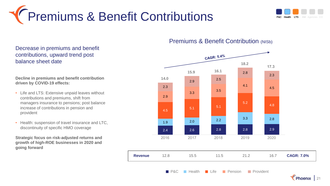



Decrease in premiums and benefit contributions, upward trend post balance sheet date

**Decline in premiums and benefit contribution driven by COVID-19 effects:**

- Life and LTS: Extensive unpaid leaves without contributions and premiums, shift from managers insurance to pensions; post balance increase of contributions in pension and provident
- Health: suspension of travel insurance and LTC, discontinuity of specific HMO coverage

**Strategic focus on risk-adjusted returns and growth of high-ROE businesses in 2020 and going forward**

#### **Premiums & Benefit Contribution (NISb)**



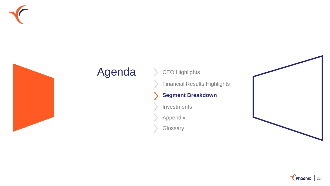



# Agenda > CEO Highlights

Financial Results Highlights

### **Segment Breakdown**

Investments

Appendix

**Glossary** 



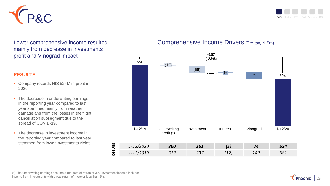



Lower comprehensive income resulted mainly from decrease in investments profit and Vinograd impact

#### **RESULTS**

- Company records NIS 524M in profit in 2020.
- The decrease in underwriting earnings in the reporting year compared to last year stemmed mainly from weather damage and from the losses in the flight cancellation subsegment due to the spread of COVID-19.
- The decrease in investment income in the reporting year compared to last year stemmed from lower investments yields.

#### Comprehensive Income Drivers (Pre-tax, NISm)



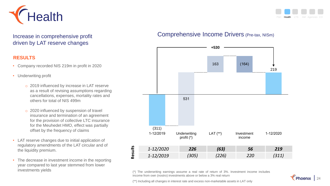



Increase in comprehensive profit driven by LAT reserve changes

#### **RESULTS**

- Company recorded NIS 219m in profit in 2020
- Underwriting profit
	- o 2019 influenced by increase in LAT reserve as a result of revising assumptions regarding cancellations, expenses, mortality rates and others for total of NIS 499m
	- o 2020 influenced by suspension of travel insurance and termination of an agreement for the provision of collective LTC insurance for the Meuhedet HMO, effect was partially offset by the frequency of claims
- LAT reserve changes due to initial application of regulatory amendments of the LAT circular and of the liquidity premium.
- The decrease in investment income in the reporting year compared to last year stemmed from lower investments yields

### Comprehensive Income Drivers (Pre-tax, NISm)



(\*) The underwriting earnings assume a real rate of return of 3%. Investment income includes income from own (nostro) investments above or below a 3% real return

(\*\*) Including all changes in interest rate and excess non-marketable assets in LAT only

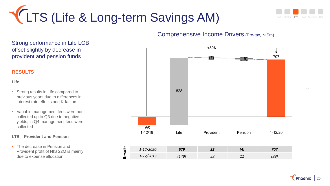



#### Comprehensive Income Drivers (Pre-tax, NISm)

**Results**  $(7)$   $\frac{1}{(15)}$   $\frac{1}{(15)}$   $\frac{1}{(15)}$   $\frac{1}{(15)}$   $\frac{1}{(15)}$   $\frac{1}{(15)}$   $\frac{1}{(15)}$   $\frac{1}{(15)}$   $\frac{1}{(15)}$   $\frac{1}{(15)}$   $\frac{1}{(15)}$   $\frac{1}{(15)}$   $\frac{1}{(15)}$   $\frac{1}{(15)}$   $\frac{1}{(15)}$   $\frac{1}{(15)}$   $\frac{1}{(15)}$   $\frac{1}{(15)}$ 828  $(15)$ **+806** (99) 1-12/19 Life Provident Pension 1-12/20 *1-12/2020 679 32 (4) 707 1-12/2019 (149) <sup>39</sup> <sup>11</sup> (99)*

Strong performance in Life LOB offset slightly by decrease in provident and pension funds

#### **RESULTS**

#### **Life**

- Strong results in Life compared to previous years due to differences in interest rate effects and K-factors
- Variable management fees were not collected up to Q3 due to negative yields, in Q4 management fees were collected

#### **LTS – Provident and Pension**

• The decrease in Pension and Provident profit of NIS 22M is mainly due to expense allocation

 $\sqrt{\ }$  Phoenix | 25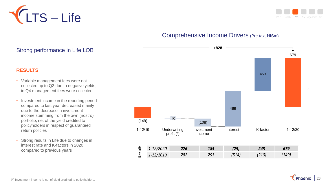



### Comprehensive Income Drivers (Pre-tax, NISm)



## Strong performance in Life LOB

#### **RESULTS**

- Variable management fees were not collected up to Q3 due to negative yields, in Q4 management fees were collected
- Investment income in the reporting period compared to last year decreased mainly due to the decrease in investment income stemming from the own (nostro) portfolio, net of the yield credited to policyholders in respect of guaranteed return policies
- Strong results in Life due to changes in interest rate and K-factors in 2020 compared to previous years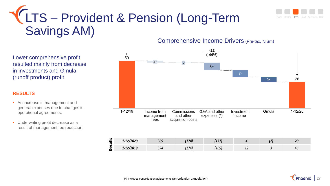

# LTS – Provident & Pension (Long-Term Savings AM) Comprehensive Income Drivers (Pre-tax, NISm)

Lower comprehensive profit resulted mainly from decrease in investments and Gmula (runoff product) profit

#### **RESULTS**

- An increase in management and general expenses due to changes in operational agreements.
- Underwriting profit decrease as a result of management fee reduction.



| ഛ<br>=<br>$\overline{\phantom{a}}$<br>S<br>Φ<br>$\sim$ | $-12$<br>72020          | $\sim$ | 171 | $- -$       |    | ZV |
|--------------------------------------------------------|-------------------------|--------|-----|-------------|----|----|
|                                                        | ווחר/ו<br>בבטגן:<br>--- | י רי   | 174 | $\sim$<br>ᆚ | -- | 4L |

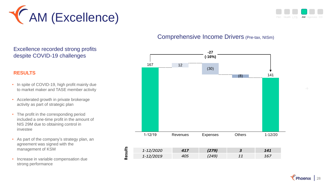



### Comprehensive Income Drivers (Pre-tax, NISm)



#### Excellence recorded strong profits despite COVID-19 challenges

#### **RESULTS**

- In spite of COVID-19, high profit mainly due to market maker and TASE member activity
- Accelerated growth in private brokerage activity as part of strategic plan
- The profit in the corresponding period included a one-time profit in the amount of NIS 29M due to obtaining control in investee
- As part of the company's strategy plan, an agreement was signed with the management of KSM
- Increase in variable compensation due strong performance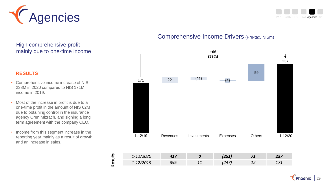



### Comprehensive Income Drivers (Pre-tax, NISm)



| $\sim$ lange<br><i>1-12/2020</i>                                                                                                                                                                                                                                                                                                    | 41/ | (251) |    | 237 |
|-------------------------------------------------------------------------------------------------------------------------------------------------------------------------------------------------------------------------------------------------------------------------------------------------------------------------------------|-----|-------|----|-----|
| $1 - \Gamma$<br>$\frac{1}{2}$ $\frac{1}{2}$ $\frac{1}{2}$ $\frac{1}{2}$ $\frac{1}{2}$ $\frac{1}{2}$ $\frac{1}{2}$ $\frac{1}{2}$ $\frac{1}{2}$ $\frac{1}{2}$ $\frac{1}{2}$ $\frac{1}{2}$ $\frac{1}{2}$ $\frac{1}{2}$ $\frac{1}{2}$ $\frac{1}{2}$ $\frac{1}{2}$ $\frac{1}{2}$ $\frac{1}{2}$ $\frac{1}{2}$ $\frac{1}{2}$ $\frac{1}{2}$ | 395 |       | -- |     |

#### High comprehensive profit mainly due to one-time income

#### **RESULTS**

- Comprehensive income increase of NIS 238M in 2020 compared to NIS 171M income in 2019.
- Most of the increase in profit is due to a one-time profit in the amount of NIS 62M due to obtaining control in the insurance agency Oren Mizrach, and signing a long term agreement with the company CEO.
- Income from this segment increase in the reporting year mainly as a result of growth and an increase in sales.

**Results**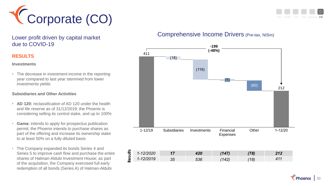



Lower profit driven by capital market due to COVID-19

#### **RESULTS**

**Investments**

• The decrease in investment income in the reporting year compared to last year stemmed from lower investments yields

#### **Subsidiaries and Other Activities**

- **AD 120:** reclassification of AD 120 under the health and life reserve as of 31/12/2019; the Phoenix is considering selling its control stake, and up to 100%
- **Gama:** intends to apply for prospectus publication permit; the Phoenix intends to purchase shares as part of the offering and increase its ownership stake to at least 50% on a fully diluted basis
- The Company expanded its bonds Series 4 and Series 5 to improve cash flow and purchase the entire shares of Halman-Aldubi Investment House; as part of the acquisition, the Company exercised full early redemption of all bonds (Series A) of Halman-Aldubi

### Comprehensive Income Drivers (Pre-tax, NISm)

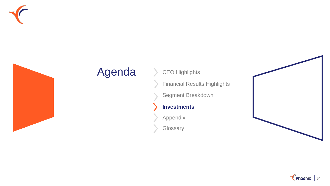



# Agenda > CEO Highlights

Financial Results Highlights

Segment Breakdown

### **Investments**

Appendix

**Glossary** 



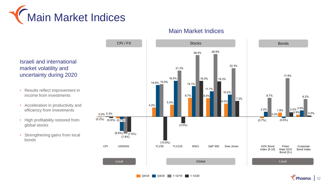



Main Market Indices

Israeli and international market volatility and uncertainty during 2020

- Results reflect improvement in income from investments
- Acceleration in productivity and efficiency from investments
- High profitability restored from global stocks
- Strengthening gains from local bonds

**Q4/19 Q4/20 1-12/19 1-12/20** 

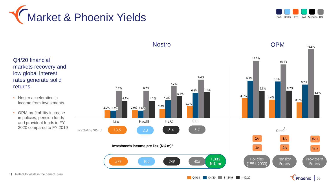



#### Q4/20 financial markets recovery and low global interest rates generate solid **OPM** Life Health P&C CO *Portfolio (NIS B)* 13.5 2.8 5.4 6.2 **Investments income pre Tax (NIS m)<sup>1</sup>** <sup>579</sup> <sup>102</sup> <sup>249</sup> **1,335** <sup>405</sup> **NIS m Nostro** 6.6% 8.9% 4.8% 9.1% 14.0% 4.4% 13.1% 16.8%  $6.7%$ 3.8% 8.2% 5.6% 6.7%  $2.0\%$  1.8 $\bar{\%}$  $6.1%$ 7.7% 2.0% 1.8% 2.9%  $4.2%$ 6.7% 4.2% 2.2% 4.3% 9.4% 5.3% 6.3% 1 *Rank:* **2 1**/5 **3**/5 **5**/12 **1**/5 **2**/5 **2**/5 3/12 Policies (1991-2003) **Pension** Funds Provident Funds • Nostro acceleration in income from Investments • OPM profitability increase in policies, pension funds and provident funds in FY 2020 compared to FY 2019

1) Refers to yields in the general plan

returns

Q4/19 Q4/20 1-12/19 1-12/20

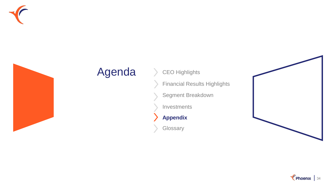



# Agenda > CEO Highlights

Financial Results Highlights

Segment Breakdown

Investments

**Appendix**

**Glossary** 



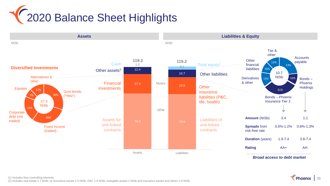



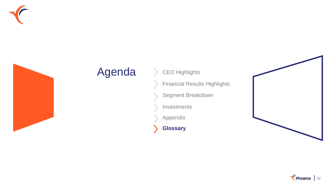



# Agenda > CEO Highlights

Financial Results Highlights

Segment Breakdown

Investments

Appendix

**Glossary**



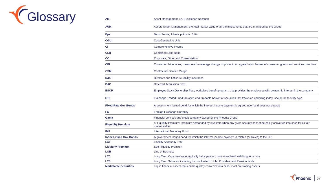

| <b>AM</b>                     | Asset Management; i.e. Excellence Nessuah                                                                                                      |
|-------------------------------|------------------------------------------------------------------------------------------------------------------------------------------------|
| <b>AUM</b>                    | Assets Under Management; the total market value of all the investments that are managed by the Group                                           |
| <b>Bps</b>                    | Basis Points; 1 basis points is .01%                                                                                                           |
| <b>CGU</b>                    | <b>Cost Generating Unit</b>                                                                                                                    |
| СI                            | Comprehensive Income                                                                                                                           |
| <b>CLR</b>                    | <b>Combined Loss Ratio</b>                                                                                                                     |
| <b>CO</b>                     | Corporate, Other and Consolidation                                                                                                             |
| <b>CPI</b>                    | Consumer Price Index; measures the average change of prices in an agreed upon basket of consumer goods and services over time                  |
| <b>CSM</b>                    | <b>Contractual Service Margin</b>                                                                                                              |
| <b>D&amp;O</b>                | Directors and Officers Liability Insurance                                                                                                     |
| <b>DAC</b>                    | <b>Deferred Acquisition Cost</b>                                                                                                               |
| <b>ESOP</b>                   | Employee Stock Ownership Plan; workplace benefit program, that provides the employees with ownership interest in the company.                  |
| <b>ETF</b>                    | Exchange Traded Fund; an open end, tradable basket of securities that tracks an underling index, sector, or security type                      |
| <b>Fixed-Rate Gov Bonds</b>   | A government issued bond for which the interest income payment is agreed upon and does not change                                              |
| <b>FX</b>                     | Foreign Exchange Currency                                                                                                                      |
| Gama                          | Financial services and credit company owned by the Phoenix Group                                                                               |
| <b>Illiquidity Premium</b>    | or Liquidity Premium; premium demanded by investors when any given security cannot be easily converted into cash for its fair<br>market value. |
| <b>IMF</b>                    | <b>International Monetary Fund</b>                                                                                                             |
| <b>Index Linked Gov Bonds</b> | A government issued bond for which the interest income payment is related (or linked) to the CPI                                               |
| <b>LAT</b>                    | <b>Liability Adequacy Test</b>                                                                                                                 |
| <b>Liquidity Premium</b>      | See Illiquidity Premium                                                                                                                        |
| <b>LOB</b>                    | <b>Line of Business</b>                                                                                                                        |
| <b>LTC</b>                    | Long Term Care insurance; typically helps pay for costs associated with long term care                                                         |
| <b>LTS</b>                    | Long Term Services; including but not limited to Life, Provident and Pension funds                                                             |
| <b>Marketable Securities</b>  | Liquid financial assets that can be quickly converted into cash; most are trading assets                                                       |

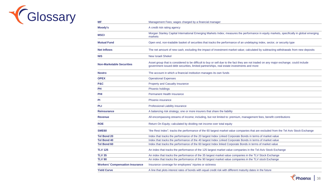

| ΜF                                     | Management Fees; wages charged by a financial manager                                                                                                                                                                               |
|----------------------------------------|-------------------------------------------------------------------------------------------------------------------------------------------------------------------------------------------------------------------------------------|
| Moody's                                | A credit risk rating agency                                                                                                                                                                                                         |
| <b>MSCI</b>                            | Morgan Stanley Capital International Emerging Markets Index; measures the performance in equity markets, specifically in global emerging<br>markets                                                                                 |
| <b>Mutual Fund</b>                     | Open end, non-tradable basket of securities that tracks the performance of an undelaying index, sector, or security type                                                                                                            |
| <b>Net Inflows</b>                     | The net amount of new cash, excluding the impact of investment market value; calculated by subtracting withdrawals from new deposits                                                                                                |
| <b>NIS</b>                             | <b>New Israeli Shekel</b>                                                                                                                                                                                                           |
| <b>Non-Marketable Securities</b>       | Asset group that is considered to be difficult to buy or sell due to the fact they are not traded on any major exchange; could include<br>government issued debt securities, limited partnerships, real estate investments and more |
| <b>Nostro</b>                          | The account in which a financial institution manages its own funds                                                                                                                                                                  |
| <b>OPEX</b>                            | <b>Operational Expenses</b>                                                                                                                                                                                                         |
| <b>P&amp;C</b>                         | <b>Property and Casualty insurance</b>                                                                                                                                                                                              |
| PH                                     | Phoenix holdings                                                                                                                                                                                                                    |
| <b>PHI</b>                             | <b>Permanent Health Insurance</b>                                                                                                                                                                                                   |
| PI                                     | <b>Phoenix insurance</b>                                                                                                                                                                                                            |
| <b>PLI</b>                             | Professional Liability insurance                                                                                                                                                                                                    |
| <b>Reinsurance</b>                     | A balancing risk strategy; one or more insurers that share the liability                                                                                                                                                            |
| <b>Revenue</b>                         | All encompassing streams of income; including, but not limited to: premium, management fees, benefit contributions                                                                                                                  |
| <b>ROE</b>                             | Return On Equity; calculated by dividing net income over total equity                                                                                                                                                               |
| <b>SME60</b>                           | "the Rest Index"; tracks the performance of the 60 largest market value companies that are excluded from the Tel Aviv Stock Exchange                                                                                                |
| <b>Tel Bond 20</b>                     | Index that tracks the performance of the 20 largest Index Linked Corporate Bonds in terms of market value                                                                                                                           |
| <b>Tel Bond 40</b>                     | Index that tracks the performance of the 40 largest Index Linked Corporate Bonds in terms of market value                                                                                                                           |
| <b>Tel Bond 60</b>                     | Index that tracks the performance of the 60 largest Index linked Corporate Bonds in terms of market value                                                                                                                           |
| <b>TLV 125</b>                         | An index that tracks the performance of the 125 largest market value companies in the Tel-Aviv Stock Exchange                                                                                                                       |
| <b>TLV 35</b>                          | An index that tracks the performance of the 35 largest market value companies in the TLV Stock Exchange                                                                                                                             |
| <b>TLV 90</b>                          | An index that tracks the performance of the 90 largest market value companies in the TLV stock Exchange                                                                                                                             |
| <b>Workers' Compensation Insurance</b> | Insurance coverage for employees' injuries or sickness                                                                                                                                                                              |
| <b>Yield Curve</b>                     | A line that plots interest rates of bonds with equal credit risk with different maturity dates in the future                                                                                                                        |
|                                        |                                                                                                                                                                                                                                     |